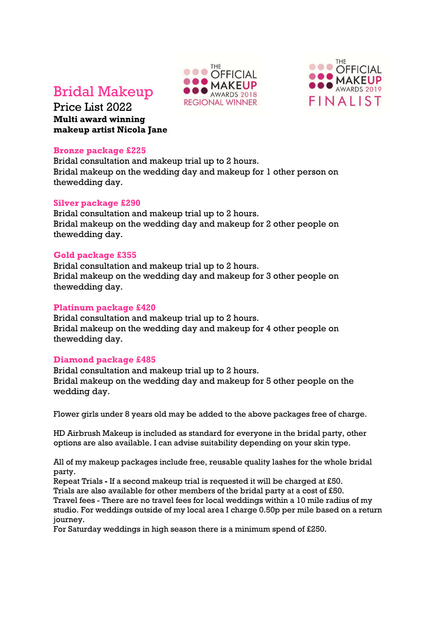# Bridal Makeup

Price List 2022 **Multi award winning makeup artist Nicola Jane**

#### **Bronze package £225**

Bridal consultation and makeup trial up to 2 hours. Bridal makeup on the wedding day and makeup for 1 other person on thewedding day.

## **Silver package £290**

Bridal consultation and makeup trial up to 2 hours. Bridal makeup on the wedding day and makeup for 2 other people on thewedding day.

## **Gold package £355**

Bridal consultation and makeup trial up to 2 hours. Bridal makeup on the wedding day and makeup for 3 other people on thewedding day.

### **Platinum package £420**

Bridal consultation and makeup trial up to 2 hours. Bridal makeup on the wedding day and makeup for 4 other people on thewedding day.

## **Diamond package £485**

Bridal consultation and makeup trial up to 2 hours. Bridal makeup on the wedding day and makeup for 5 other people on the wedding day.

Flower girls under 8 years old may be added to the above packages free of charge.

HD Airbrush Makeup is included as standard for everyone in the bridal party, other options are also available. I can advise suitability depending on your skin type.

All of my makeup packages include free, reusable quality lashes for the whole bridal party.

Repeat Trials **-** If a second makeup trial is requested it will be charged at £50. Trials are also available for other members of the bridal party at a cost of £50. Travel fees - There are no travel fees for local weddings within a 10 mile radius of my studio. For weddings outside of my local area I charge 0.50p per mile based on a return journey.

For Saturday weddings in high season there is a minimum spend of £250.



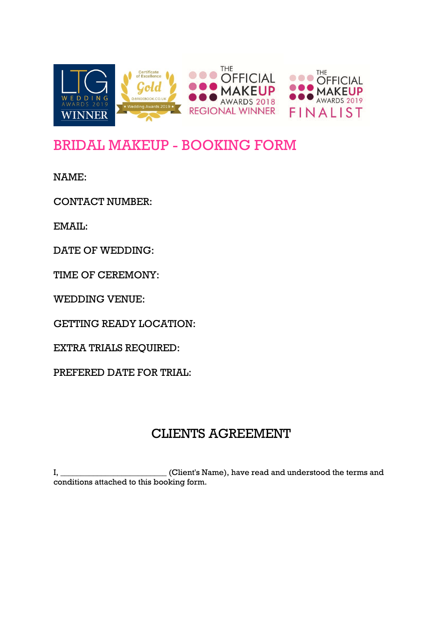

# BRIDAL MAKEUP - BOOKING FORM

NAME:

CONTACT NUMBER:

EMAIL:

DATE OF WEDDING:

TIME OF CEREMONY:

WEDDING VENUE:

GETTING READY LOCATION:

EXTRA TRIALS REQUIRED:

PREFERED DATE FOR TRIAL:

## CLIENTS AGREEMENT

I, \_\_\_\_\_\_\_\_\_\_\_\_\_\_\_\_\_\_\_\_\_\_\_\_\_\_ (Client's Name), have read and understood the terms and conditions attached to this booking form.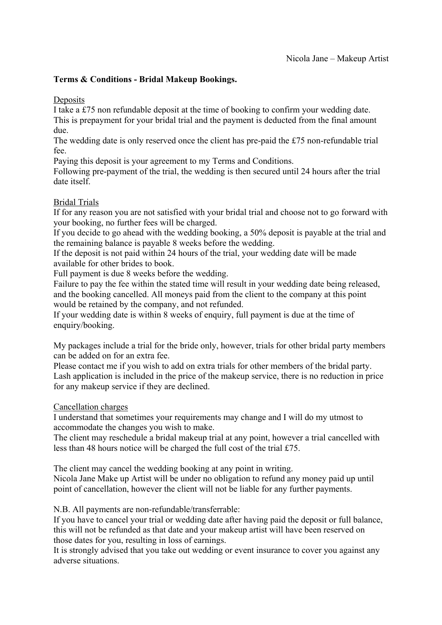## **Terms & Conditions - Bridal Makeup Bookings.**

**Deposits** 

I take a £75 non refundable deposit at the time of booking to confirm your wedding date. This is prepayment for your bridal trial and the payment is deducted from the final amount due.

The wedding date is only reserved once the client has pre-paid the £75 non-refundable trial fee.

Paying this deposit is your agreement to my Terms and Conditions.

Following pre-payment of the trial, the wedding is then secured until 24 hours after the trial date itself.

## Bridal Trials

If for any reason you are not satisfied with your bridal trial and choose not to go forward with your booking, no further fees will be charged.

If you decide to go ahead with the wedding booking, a 50% deposit is payable at the trial and the remaining balance is payable 8 weeks before the wedding.

If the deposit is not paid within 24 hours of the trial, your wedding date will be made available for other brides to book.

Full payment is due 8 weeks before the wedding.

Failure to pay the fee within the stated time will result in your wedding date being released, and the booking cancelled. All moneys paid from the client to the company at this point would be retained by the company, and not refunded.

If your wedding date is within 8 weeks of enquiry, full payment is due at the time of enquiry/booking.

My packages include a trial for the bride only, however, trials for other bridal party members can be added on for an extra fee.

Please contact me if you wish to add on extra trials for other members of the bridal party. Lash application is included in the price of the makeup service, there is no reduction in price for any makeup service if they are declined.

Cancellation charges

I understand that sometimes your requirements may change and I will do my utmost to accommodate the changes you wish to make.

The client may reschedule a bridal makeup trial at any point, however a trial cancelled with less than 48 hours notice will be charged the full cost of the trial £75.

The client may cancel the wedding booking at any point in writing. Nicola Jane Make up Artist will be under no obligation to refund any money paid up until point of cancellation, however the client will not be liable for any further payments.

N.B. All payments are non-refundable/transferrable:

If you have to cancel your trial or wedding date after having paid the deposit or full balance, this will not be refunded as that date and your makeup artist will have been reserved on those dates for you, resulting in loss of earnings.

It is strongly advised that you take out wedding or event insurance to cover you against any adverse situations.